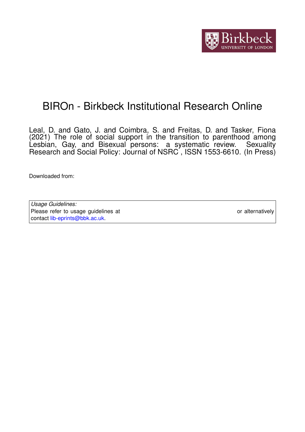

# BIROn - Birkbeck Institutional Research Online

Leal, D. and Gato, J. and Coimbra, S. and Freitas, D. and Tasker, Fiona (2021) The role of social support in the transition to parenthood among Lesbian, Gay, and Bisexual persons: a systematic review. Sexuality Research and Social Policy: Journal of NSRC, ISSN 1553-6610. (In Press)

Downloaded from: <https://eprints.bbk.ac.uk/id/eprint/42459/>

*Usage Guidelines:* Please refer to usage guidelines at <https://eprints.bbk.ac.uk/policies.html> or alternatively contact [lib-eprints@bbk.ac.uk.](mailto:lib-eprints@bbk.ac.uk)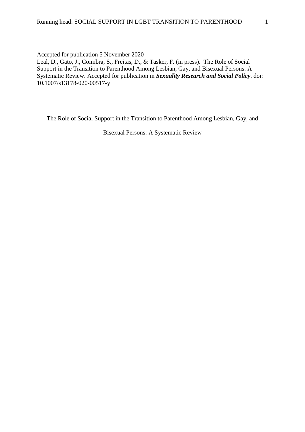Accepted for publication 5 November 2020

Leal, D., Gato, J., Coimbra, S., Freitas, D., & Tasker, F. (in press). The Role of Social Support in the Transition to Parenthood Among Lesbian, Gay, and Bisexual Persons: A Systematic Review. Accepted for publication in *Sexuality Research and Social Policy*. doi: 10.1007/s13178-020-00517-y

The Role of Social Support in the Transition to Parenthood Among Lesbian, Gay, and

Bisexual Persons: A Systematic Review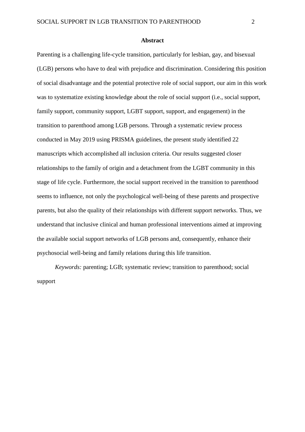#### **Abstract**

Parenting is a challenging life-cycle transition, particularly for lesbian, gay, and bisexual (LGB) persons who have to deal with prejudice and discrimination. Considering this position of social disadvantage and the potential protective role of social support, our aim in this work was to systematize existing knowledge about the role of social support (i.e., social support, family support, community support, LGBT support, support, and engagement) in the transition to parenthood among LGB persons. Through a systematic review process conducted in May 2019 using PRISMA guidelines, the present study identified 22 manuscripts which accomplished all inclusion criteria. Our results suggested closer relationships to the family of origin and a detachment from the LGBT community in this stage of life cycle. Furthermore, the social support received in the transition to parenthood seems to influence, not only the psychological well-being of these parents and prospective parents, but also the quality of their relationships with different support networks. Thus, we understand that inclusive clinical and human professional interventions aimed at improving the available social support networks of LGB persons and, consequently, enhance their psychosocial well-being and family relations during this life transition.

*Keywords:* parenting; LGB; systematic review; transition to parenthood; social support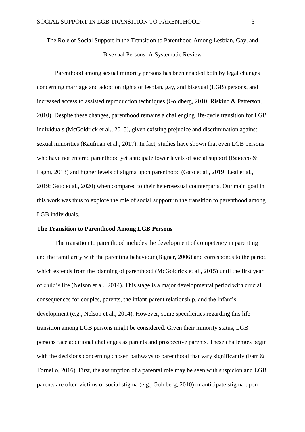The Role of Social Support in the Transition to Parenthood Among Lesbian, Gay, and Bisexual Persons: A Systematic Review

Parenthood among sexual minority persons has been enabled both by legal changes concerning marriage and adoption rights of lesbian, gay, and bisexual (LGB) persons, and increased access to assisted reproduction techniques (Goldberg, 2010; Riskind & Patterson, 2010). Despite these changes, parenthood remains a challenging life-cycle transition for LGB individuals (McGoldrick et al., 2015), given existing prejudice and discrimination against sexual minorities (Kaufman et al., 2017). In fact, studies have shown that even LGB persons who have not entered parenthood yet anticipate lower levels of social support (Baiocco  $\&$ Laghi, 2013) and higher levels of stigma upon parenthood (Gato et al., 2019; Leal et al., 2019; Gato et al., 2020) when compared to their heterosexual counterparts. Our main goal in this work was thus to explore the role of social support in the transition to parenthood among LGB individuals.

## **The Transition to Parenthood Among LGB Persons**

The transition to parenthood includes the development of competency in parenting and the familiarity with the parenting behaviour (Bigner, 2006) and corresponds to the period which extends from the planning of parenthood (McGoldrick et al., 2015) until the first year of child's life (Nelson et al., 2014). This stage is a major developmental period with crucial consequences for couples, parents, the infant-parent relationship, and the infant's development (e.g., Nelson et al., 2014). However, some specificities regarding this life transition among LGB persons might be considered. Given their minority status, LGB persons face additional challenges as parents and prospective parents. These challenges begin with the decisions concerning chosen pathways to parenthood that vary significantly (Farr & Tornello, 2016). First, the assumption of a parental role may be seen with suspicion and LGB parents are often victims of social stigma (e.g., Goldberg, 2010) or anticipate stigma upon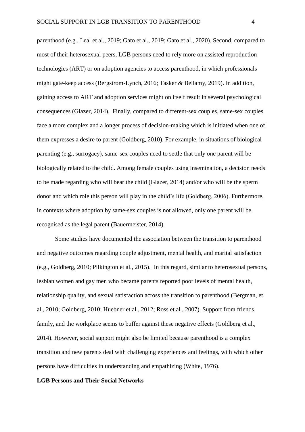parenthood (e.g., Leal et al., 2019; Gato et al., 2019; Gato et al., 2020). Second, compared to most of their heterosexual peers, LGB persons need to rely more on assisted reproduction technologies (ART) or on adoption agencies to access parenthood, in which professionals might gate-keep access (Bergstrom-Lynch, 2016; Tasker & Bellamy, 2019). In addition, gaining access to ART and adoption services might on itself result in several psychological consequences (Glazer, 2014). Finally, compared to different-sex couples, same-sex couples face a more complex and a longer process of decision-making which is initiated when one of them expresses a desire to parent (Goldberg, 2010). For example, in situations of biological parenting (e.g., surrogacy), same-sex couples need to settle that only one parent will be biologically related to the child. Among female couples using insemination, a decision needs to be made regarding who will bear the child (Glazer, 2014) and/or who will be the sperm donor and which role this person will play in the child's life (Goldberg, 2006). Furthermore, in contexts where adoption by same-sex couples is not allowed, only one parent will be recognised as the legal parent (Bauermeister, 2014).

Some studies have documented the association between the transition to parenthood and negative outcomes regarding couple adjustment, mental health, and marital satisfaction (e.g., Goldberg, 2010; Pilkington et al., 2015). In this regard, similar to heterosexual persons, lesbian women and gay men who became parents reported poor levels of mental health, relationship quality, and sexual satisfaction across the transition to parenthood (Bergman, et al., 2010; Goldberg, 2010; Huebner et al., 2012; Ross et al., 2007). Support from friends, family, and the workplace seems to buffer against these negative effects (Goldberg et al., 2014). However, social support might also be limited because parenthood is a complex transition and new parents deal with challenging experiences and feelings, with which other persons have difficulties in understanding and empathizing (White, 1976).

## **LGB Persons and Their Social Networks**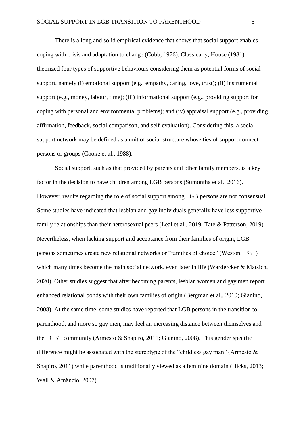There is a long and solid empirical evidence that shows that social support enables coping with crisis and adaptation to change (Cobb, 1976). Classically, House (1981) theorized four types of supportive behaviours considering them as potential forms of social support, namely (i) emotional support (e.g., empathy, caring, love, trust); (ii) instrumental support (e.g., money, labour, time); (iii) informational support (e.g., providing support for coping with personal and environmental problems); and (iv) appraisal support (e.g., providing affirmation, feedback, social comparison, and self-evaluation). Considering this, a social support network may be defined as a unit of social structure whose ties of support connect persons or groups (Cooke et al., 1988).

Social support, such as that provided by parents and other family members, is a key factor in the decision to have children among LGB persons (Sumontha et al., 2016). However, results regarding the role of social support among LGB persons are not consensual. Some studies have indicated that lesbian and gay individuals generally have less supportive family relationships than their heterosexual peers (Leal et al., 2019; Tate & Patterson, 2019). Nevertheless, when lacking support and acceptance from their families of origin, LGB persons sometimes create new relational networks or "families of choice" (Weston, 1991) which many times become the main social network, even later in life (Wardercker & Matsich, 2020). Other studies suggest that after becoming parents, lesbian women and gay men report enhanced relational bonds with their own families of origin (Bergman et al., 2010; Gianino, 2008). At the same time, some studies have reported that LGB persons in the transition to parenthood, and more so gay men, may feel an increasing distance between themselves and the LGBT community (Armesto & Shapiro, 2011; Gianino, 2008). This gender specific difference might be associated with the stereotype of the "childless gay man" (Armesto  $\&$ Shapiro, 2011) while parenthood is traditionally viewed as a feminine domain (Hicks, 2013; Wall & Amâncio, 2007).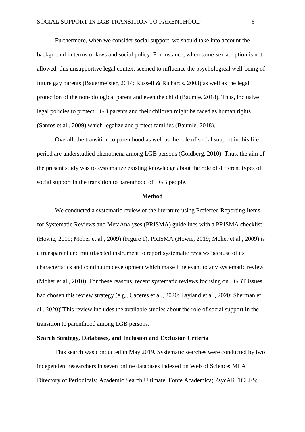Furthermore, when we consider social support, we should take into account the background in terms of laws and social policy. For instance, when same-sex adoption is not allowed, this unsupportive legal context seemed to influence the psychological well-being of future gay parents (Bauermeister, 2014; Russell & Richards, 2003) as well as the legal protection of the non-biological parent and even the child (Baumle, 2018). Thus, inclusive legal policies to protect LGB parents and their children might be faced as human rights (Santos et al., 2009) which legalize and protect families (Baumle, 2018).

Overall, the transition to parenthood as well as the role of social support in this life period are understudied phenomena among LGB persons (Goldberg, 2010). Thus, the aim of the present study was to systematize existing knowledge about the role of different types of social support in the transition to parenthood of LGB people.

## **Method**

We conducted a systematic review of the literature using Preferred Reporting Items for Systematic Reviews and MetaAnalyses (PRISMA) guidelines with a PRISMA checklist (Howie, 2019; Moher et al., 2009) (Figure 1). PRISMA (Howie, 2019; Moher et al., 2009) is a transparent and multifaceted instrument to report systematic reviews because of its characteristics and continuum development which make it relevant to any systematic review (Moher et al., 2010). For these reasons, recent systematic reviews focusing on LGBT issues had chosen this review strategy (e.g., Caceres et al., 2020; Layland et al., 2020; Sherman et al., 2020)"This review includes the available studies about the role of social support in the transition to parenthood among LGB persons.

# **Search Strategy, Databases, and Inclusion and Exclusion Criteria**

This search was conducted in May 2019. Systematic searches were conducted by two independent researchers in seven online databases indexed on Web of Science: MLA Directory of Periodicals; Academic Search Ultimate; Fonte Academica; PsycARTICLES;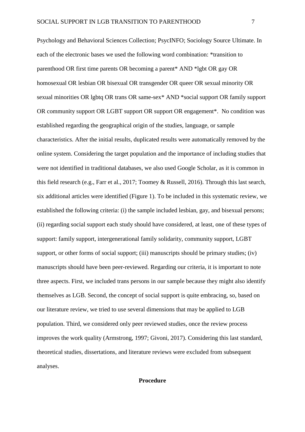Psychology and Behavioral Sciences Collection; PsycINFO; Sociology Source Ultimate. In each of the electronic bases we used the following word combination: \*transition to parenthood OR first time parents OR becoming a parent\* AND \*lgbt OR gay OR homosexual OR lesbian OR bisexual OR transgender OR queer OR sexual minority OR sexual minorities OR lgbtq OR trans OR same-sex\* AND \*social support OR family support OR community support OR LGBT support OR support OR engagement\*. No condition was established regarding the geographical origin of the studies, language, or sample characteristics. After the initial results, duplicated results were automatically removed by the online system. Considering the target population and the importance of including studies that were not identified in traditional databases, we also used Google Scholar, as it is common in this field research (e.g., Farr et al., 2017; Toomey & Russell, 2016). Through this last search, six additional articles were identified (Figure 1). To be included in this systematic review, we established the following criteria: (i) the sample included lesbian, gay, and bisexual persons; (ii) regarding social support each study should have considered, at least, one of these types of support: family support, intergenerational family solidarity, community support, LGBT support, or other forms of social support; (iii) manuscripts should be primary studies; (iv) manuscripts should have been peer-reviewed. Regarding our criteria, it is important to note three aspects. First, we included trans persons in our sample because they might also identify themselves as LGB. Second, the concept of social support is quite embracing, so, based on our literature review, we tried to use several dimensions that may be applied to LGB population. Third, we considered only peer reviewed studies, once the review process improves the work quality (Armstrong, 1997; Givoni, 2017). Considering this last standard, theoretical studies, dissertations, and literature reviews were excluded from subsequent analyses.

# **Procedure**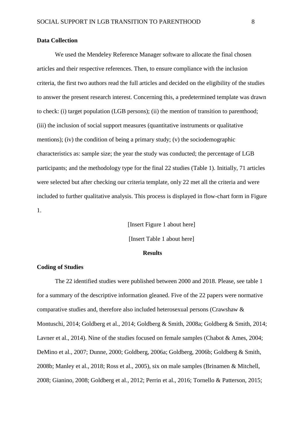#### **Data Collection**

We used the Mendeley Reference Manager software to allocate the final chosen articles and their respective references. Then, to ensure compliance with the inclusion criteria, the first two authors read the full articles and decided on the eligibility of the studies to answer the present research interest. Concerning this, a predetermined template was drawn to check: (i) target population (LGB persons); (ii) the mention of transition to parenthood; (iii) the inclusion of social support measures (quantitative instruments or qualitative mentions); (iv) the condition of being a primary study; (v) the sociodemographic characteristics as: sample size; the year the study was conducted; the percentage of LGB participants; and the methodology type for the final 22 studies (Table 1). Initially, 71 articles were selected but after checking our criteria template, only 22 met all the criteria and were included to further qualitative analysis. This process is displayed in flow-chart form in Figure 1.

> [Insert Figure 1 about here] [Insert Table 1 about here]

# **Results**

# **Coding of Studies**

The 22 identified studies were published between 2000 and 2018. Please, see table 1 for a summary of the descriptive information gleaned. Five of the 22 papers were normative comparative studies and, therefore also included heterosexual persons (Crawshaw & Montuschi, 2014; Goldberg et al., 2014; Goldberg & Smith, 2008a; Goldberg & Smith, 2014; Lavner et al., 2014). Nine of the studies focused on female samples (Chabot & Ames, 2004; DeMino et al., 2007; Dunne, 2000; Goldberg, 2006a; Goldberg, 2006b; Goldberg & Smith, 2008b; Manley et al., 2018; Ross et al., 2005), six on male samples (Brinamen & Mitchell, 2008; Gianino, 2008; Goldberg et al., 2012; Perrin et al., 2016; Tornello & Patterson, 2015;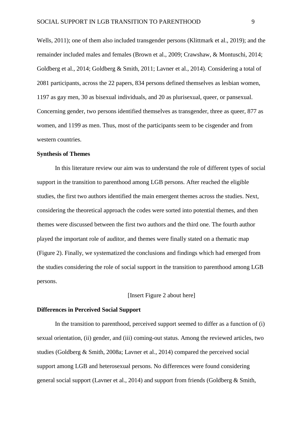Wells, 2011); one of them also included transgender persons (Klittmark et al., 2019); and the remainder included males and females (Brown et al., 2009; Crawshaw, & Montuschi, 2014; Goldberg et al., 2014; Goldberg & Smith, 2011; Lavner et al., 2014). Considering a total of 2081 participants, across the 22 papers, 834 persons defined themselves as lesbian women, 1197 as gay men, 30 as bisexual individuals, and 20 as plurisexual, queer, or pansexual. Concerning gender, two persons identified themselves as transgender, three as queer, 877 as women, and 1199 as men. Thus, most of the participants seem to be cisgender and from western countries.

### **Synthesis of Themes**

In this literature review our aim was to understand the role of different types of social support in the transition to parenthood among LGB persons. After reached the eligible studies, the first two authors identified the main emergent themes across the studies. Next, considering the theoretical approach the codes were sorted into potential themes, and then themes were discussed between the first two authors and the third one. The fourth author played the important role of auditor, and themes were finally stated on a thematic map (Figure 2). Finally, we systematized the conclusions and findings which had emerged from the studies considering the role of social support in the transition to parenthood among LGB persons.

# [Insert Figure 2 about here]

### **Differences in Perceived Social Support**

In the transition to parenthood, perceived support seemed to differ as a function of (i) sexual orientation, (ii) gender, and (iii) coming-out status. Among the reviewed articles, two studies (Goldberg & Smith, 2008a; Lavner et al., 2014) compared the perceived social support among LGB and heterosexual persons. No differences were found considering general social support (Lavner et al., 2014) and support from friends (Goldberg & Smith,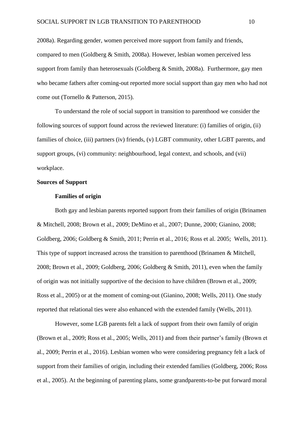2008a). Regarding gender, women perceived more support from family and friends, compared to men (Goldberg & Smith, 2008a). However, lesbian women perceived less support from family than heterosexuals (Goldberg & Smith, 2008a). Furthermore, gay men who became fathers after coming-out reported more social support than gay men who had not come out (Tornello & Patterson, 2015).

To understand the role of social support in transition to parenthood we consider the following sources of support found across the reviewed literature: (i) families of origin, (ii) families of choice, (iii) partners (iv) friends, (v) LGBT community, other LGBT parents, and support groups, (vi) community: neighbourhood, legal context, and schools, and (vii) workplace.

# **Sources of Support**

## **Families of origin**

Both gay and lesbian parents reported support from their families of origin (Brinamen & Mitchell, 2008; Brown et al., 2009; DeMino et al., 2007; Dunne, 2000; Gianino, 2008; Goldberg, 2006; Goldberg & Smith, 2011; Perrin et al., 2016; Ross et al. 2005; Wells, 2011). This type of support increased across the transition to parenthood (Brinamen & Mitchell, 2008; Brown et al., 2009; Goldberg, 2006; Goldberg & Smith, 2011), even when the family of origin was not initially supportive of the decision to have children (Brown et al., 2009; Ross et al., 2005) or at the moment of coming-out (Gianino, 2008; Wells, 2011). One study reported that relational ties were also enhanced with the extended family (Wells, 2011).

However, some LGB parents felt a lack of support from their own family of origin (Brown et al., 2009; Ross et al., 2005; Wells, 2011) and from their partner's family (Brown et al., 2009; Perrin et al., 2016). Lesbian women who were considering pregnancy felt a lack of support from their families of origin, including their extended families (Goldberg, 2006; Ross et al., 2005). At the beginning of parenting plans, some grandparents-to-be put forward moral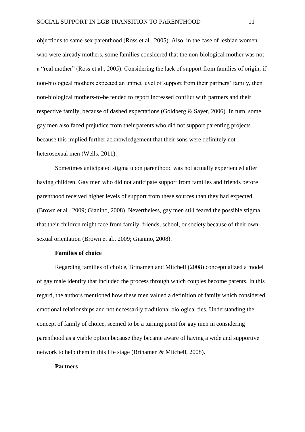objections to same-sex parenthood (Ross et al., 2005). Also, in the case of lesbian women who were already mothers, some families considered that the non-biological mother was not a "real mother" (Ross et al., 2005). Considering the lack of support from families of origin, if non-biological mothers expected an unmet level of support from their partners' family, then non-biological mothers-to-be tended to report increased conflict with partners and their respective family, because of dashed expectations (Goldberg & Sayer, 2006). In turn, some gay men also faced prejudice from their parents who did not support parenting projects because this implied further acknowledgement that their sons were definitely not heterosexual men (Wells, 2011).

Sometimes anticipated stigma upon parenthood was not actually experienced after having children. Gay men who did not anticipate support from families and friends before parenthood received higher levels of support from these sources than they had expected (Brown et al., 2009; Gianino, 2008). Nevertheless, gay men still feared the possible stigma that their children might face from family, friends, school, or society because of their own sexual orientation (Brown et al., 2009; Gianino, 2008).

# **Families of choice**

Regarding families of choice, Brinamen and Mitchell (2008) conceptualized a model of gay male identity that included the process through which couples become parents. In this regard, the authors mentioned how these men valued a definition of family which considered emotional relationships and not necessarily traditional biological ties. Understanding the concept of family of choice, seemed to be a turning point for gay men in considering parenthood as a viable option because they became aware of having a wide and supportive network to help them in this life stage (Brinamen & Mitchell, 2008).

#### **Partners**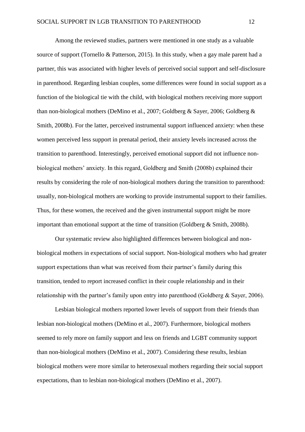Among the reviewed studies, partners were mentioned in one study as a valuable source of support (Tornello & Patterson, 2015). In this study, when a gay male parent had a partner, this was associated with higher levels of perceived social support and self-disclosure in parenthood. Regarding lesbian couples, some differences were found in social support as a function of the biological tie with the child, with biological mothers receiving more support than non-biological mothers (DeMino et al., 2007; Goldberg & Sayer, 2006; Goldberg & Smith, 2008b). For the latter, perceived instrumental support influenced anxiety: when these women perceived less support in prenatal period, their anxiety levels increased across the transition to parenthood. Interestingly, perceived emotional support did not influence nonbiological mothers' anxiety. In this regard, Goldberg and Smith (2008b) explained their results by considering the role of non-biological mothers during the transition to parenthood: usually, non-biological mothers are working to provide instrumental support to their families. Thus, for these women, the received and the given instrumental support might be more important than emotional support at the time of transition (Goldberg & Smith, 2008b).

Our systematic review also highlighted differences between biological and nonbiological mothers in expectations of social support. Non-biological mothers who had greater support expectations than what was received from their partner's family during this transition, tended to report increased conflict in their couple relationship and in their relationship with the partner's family upon entry into parenthood (Goldberg & Sayer, 2006).

Lesbian biological mothers reported lower levels of support from their friends than lesbian non-biological mothers (DeMino et al., 2007). Furthermore, biological mothers seemed to rely more on family support and less on friends and LGBT community support than non-biological mothers (DeMino et al., 2007). Considering these results, lesbian biological mothers were more similar to heterosexual mothers regarding their social support expectations, than to lesbian non-biological mothers (DeMino et al., 2007).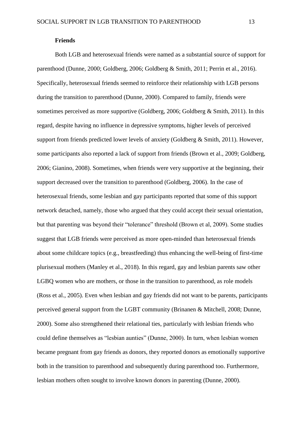#### **Friends**

Both LGB and heterosexual friends were named as a substantial source of support for parenthood (Dunne, 2000; Goldberg, 2006; Goldberg & Smith, 2011; Perrin et al., 2016). Specifically, heterosexual friends seemed to reinforce their relationship with LGB persons during the transition to parenthood (Dunne, 2000). Compared to family, friends were sometimes perceived as more supportive (Goldberg, 2006; Goldberg & Smith, 2011). In this regard, despite having no influence in depressive symptoms, higher levels of perceived support from friends predicted lower levels of anxiety (Goldberg & Smith, 2011). However, some participants also reported a lack of support from friends (Brown et al., 2009; Goldberg, 2006; Gianino, 2008). Sometimes, when friends were very supportive at the beginning, their support decreased over the transition to parenthood (Goldberg, 2006). In the case of heterosexual friends, some lesbian and gay participants reported that some of this support network detached, namely, those who argued that they could accept their sexual orientation, but that parenting was beyond their "tolerance" threshold (Brown et al, 2009). Some studies suggest that LGB friends were perceived as more open-minded than heterosexual friends about some childcare topics (e.g., breastfeeding) thus enhancing the well-being of first-time plurisexual mothers (Manley et al., 2018). In this regard, gay and lesbian parents saw other LGBQ women who are mothers, or those in the transition to parenthood, as role models (Ross et al., 2005). Even when lesbian and gay friends did not want to be parents, participants perceived general support from the LGBT community (Brinanen & Mitchell, 2008; Dunne, 2000). Some also strengthened their relational ties, particularly with lesbian friends who could define themselves as "lesbian aunties" (Dunne, 2000). In turn, when lesbian women became pregnant from gay friends as donors, they reported donors as emotionally supportive both in the transition to parenthood and subsequently during parenthood too. Furthermore, lesbian mothers often sought to involve known donors in parenting (Dunne, 2000).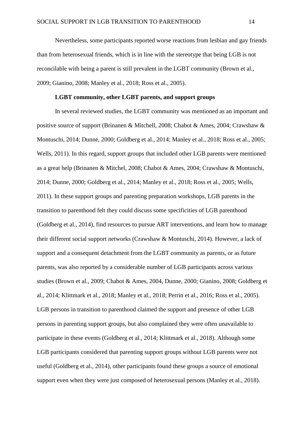Nevertheless, some participants reported worse reactions from lesbian and gay friends than from heterosexual friends, which is in line with the stereotype that being LGB is not reconcilable with being a parent is still prevalent in the LGBT community (Brown et al., 2009; Gianino, 2008; Manley et al., 2018; Ross et al., 2005).

# **LGBT community, other LGBT parents, and support groups**

In several reviewed studies, the LGBT community was mentioned as an important and positive source of support (Brinanen & Mitchell, 2008; Chabot & Ames, 2004; Crawshaw & Montuschi, 2014; Dunne, 2000; Goldberg et al., 2014; Manley et al., 2018; Ross et al., 2005; Wells, 2011). In this regard, support groups that included other LGB parents were mentioned as a great help (Brinanen & Mitchel, 2008; Chabot & Ames, 2004; Crawshaw & Montuschi, 2014; Dunne, 2000; Goldberg et al., 2014; Manley et al., 2018; Ross et al., 2005; Wells, 2011). In these support groups and parenting preparation workshops, LGB parents in the transition to parenthood felt they could discuss some specificities of LGB parenthood (Goldberg et al., 2014), find resources to pursue ART interventions, and learn how to manage their different social support networks (Crawshaw & Montuschi, 2014). However, a lack of support and a consequent detachment from the LGBT community as parents, or as future parents, was also reported by a considerable number of LGB participants across various studies (Brown et al., 2009; Chabot & Ames, 2004, Dunne, 2000; Gianino, 2008; Goldberg et al., 2014; Klittmark et al., 2018; Manley et al., 2018; Perrin et al., 2016; Ross et al., 2005). LGB persons in transition to parenthood claimed the support and presence of other LGB persons in parenting support groups, but also complained they were often unavailable to participate in these events (Goldberg et al., 2014; Klittmark et al., 2018). Although some LGB participants considered that parenting support groups without LGB parents were not useful (Goldberg et al., 2014), other participants found these groups a source of emotional support even when they were just composed of heterosexual persons (Manley et al., 2018).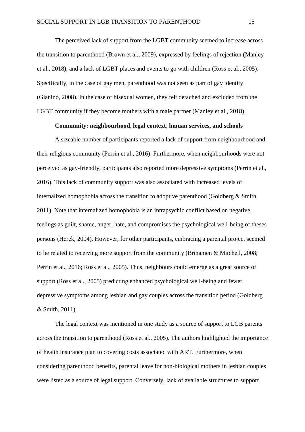The perceived lack of support from the LGBT community seemed to increase across the transition to parenthood (Brown et al., 2009), expressed by feelings of rejection (Manley et al., 2018), and a lack of LGBT places and events to go with children (Ross et al., 2005). Specifically, in the case of gay men, parenthood was not seen as part of gay identity (Gianino, 2008). In the case of bisexual women, they felt detached and excluded from the LGBT community if they become mothers with a male partner (Manley et al., 2018).

### **Community: neighbourhood, legal context, human services, and schools**

A sizeable number of participants reported a lack of support from neighbourhood and their religious community (Perrin et al., 2016). Furthermore, when neighbourhoods were not perceived as gay-friendly, participants also reported more depressive symptoms (Perrin et al., 2016). This lack of community support was also associated with increased levels of internalized homophobia across the transition to adoptive parenthood (Goldberg & Smith, 2011). Note that internalized homophobia is an intrapsychic conflict based on negative feelings as guilt, shame, anger, hate, and compromises the psychological well-being of theses persons (Herek, 2004). However, for other participants, embracing a parental project seemed to be related to receiving more support from the community (Brinamen & Mitchell, 2008; Perrin et al., 2016; Ross et al., 2005). Thus, neighbours could emerge as a great source of support (Ross et al., 2005) predicting enhanced psychological well-being and fewer depressive symptoms among lesbian and gay couples across the transition period (Goldberg & Smith, 2011).

The legal context was mentioned in one study as a source of support to LGB parents across the transition to parenthood (Ross et al., 2005). The authors highlighted the importance of health insurance plan to covering costs associated with ART. Furthermore, when considering parenthood benefits, parental leave for non-biological mothers in lesbian couples were listed as a source of legal support. Conversely, lack of available structures to support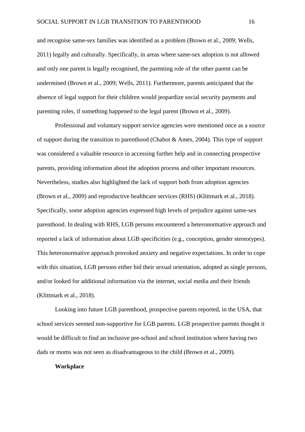and recognise same-sex families was identified as a problem (Brown et al., 2009; Wells, 2011) legally and culturally. Specifically, in areas where same-sex adoption is not allowed and only one parent is legally recognised, the parenting role of the other parent can be undermined (Brown et al., 2009; Wells, 2011). Furthermore, parents anticipated that the absence of legal support for their children would jeopardize social security payments and parenting roles, if something happened to the legal parent (Brown et al., 2009).

Professional and voluntary support service agencies were mentioned once as a source of support during the transition to parenthood (Chabot & Ames, 2004). This type of support was considered a valuable resource in accessing further help and in connecting prospective parents, providing information about the adoption process and other important resources. Nevertheless, studies also highlighted the lack of support both from adoption agencies (Brown et al., 2009) and reproductive healthcare services (RHS) (Klittmark et al., 2018). Specifically, some adoption agencies expressed high levels of prejudice against same-sex parenthood. In dealing with RHS, LGB persons encountered a heteronormative approach and reported a lack of information about LGB specificities (e.g., conception, gender stereotypes). This heteronormative approach provoked anxiety and negative expectations. In order to cope with this situation, LGB persons either hid their sexual orientation, adopted as single persons, and/or looked for additional information via the internet, social media and their friends (Klittmark et al., 2018).

Looking into future LGB parenthood, prospective parents reported, in the USA, that school services seemed non-supportive for LGB parents. LGB prospective parents thought it would be difficult to find an inclusive pre-school and school institution where having two dads or moms was not seen as disadvantageous to the child (Brown et al., 2009).

#### **Workplace**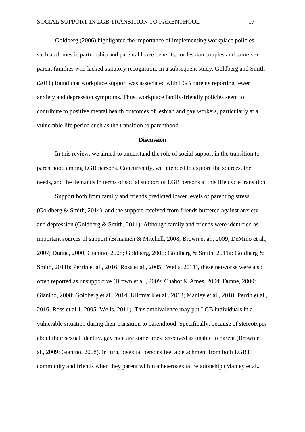Goldberg (2006) highlighted the importance of implementing workplace policies, such as domestic partnership and parental leave benefits, for lesbian couples and same-sex parent families who lacked statutory recognition. In a subsequent study, Goldberg and Smith (2011) found that workplace support was associated with LGB parents reporting fewer anxiety and depression symptoms. Thus, workplace family-friendly policies seem to contribute to positive mental health outcomes of lesbian and gay workers, particularly at a vulnerable life period such as the transition to parenthood.

#### **Discussion**

In this review, we aimed to understand the role of social support in the transition to parenthood among LGB persons. Concurrently, we intended to explore the sources, the needs, and the demands in terms of social support of LGB persons at this life cycle transition.

Support both from family and friends predicted lower levels of parenting stress (Goldberg & Smith, 2014), and the support received from friends buffered against anxiety and depression (Goldberg & Smith, 2011). Although family and friends were identified as important sources of support (Brinamen & Mitchell, 2008; Brown et al., 2009; DeMino et al., 2007; Dunne, 2000; Gianino, 2008; Goldberg, 2006; Goldberg & Smith, 2011a; Goldberg & Smith, 2011b; Perrin et al., 2016; Ross et al., 2005; Wells, 2011), these networks were also often reported as unsupportive (Brown et al., 2009; Chabot & Ames, 2004, Dunne, 2000; Gianino, 2008; Goldberg et al., 2014; Klittmark et al., 2018; Manley et al., 2018; Perrin et al., 2016; Ross et al.1, 2005; Wells, 2011). This ambivalence may put LGB individuals in a vulnerable situation during their transition to parenthood. Specifically, because of stereotypes about their sexual identity, gay men are sometimes perceived as unable to parent (Brown et al., 2009; Gianino, 2008). In turn, bisexual persons feel a detachment from both LGBT community and friends when they parent within a heterosexual relationship (Manley et al.,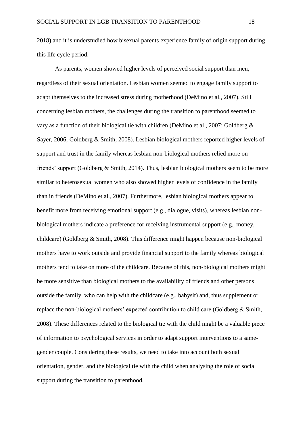2018) and it is understudied how bisexual parents experience family of origin support during this life cycle period.

As parents, women showed higher levels of perceived social support than men, regardless of their sexual orientation. Lesbian women seemed to engage family support to adapt themselves to the increased stress during motherhood (DeMino et al., 2007). Still concerning lesbian mothers, the challenges during the transition to parenthood seemed to vary as a function of their biological tie with children (DeMino et al., 2007; Goldberg & Sayer, 2006; Goldberg & Smith, 2008). Lesbian biological mothers reported higher levels of support and trust in the family whereas lesbian non-biological mothers relied more on friends' support (Goldberg & Smith, 2014). Thus, lesbian biological mothers seem to be more similar to heterosexual women who also showed higher levels of confidence in the family than in friends (DeMino et al., 2007). Furthermore, lesbian biological mothers appear to benefit more from receiving emotional support (e.g., dialogue, visits), whereas lesbian nonbiological mothers indicate a preference for receiving instrumental support (e.g., money, childcare) (Goldberg & Smith, 2008). This difference might happen because non-biological mothers have to work outside and provide financial support to the family whereas biological mothers tend to take on more of the childcare. Because of this, non-biological mothers might be more sensitive than biological mothers to the availability of friends and other persons outside the family, who can help with the childcare (e.g., babysit) and, thus supplement or replace the non-biological mothers' expected contribution to child care (Goldberg & Smith, 2008). These differences related to the biological tie with the child might be a valuable piece of information to psychological services in order to adapt support interventions to a samegender couple. Considering these results, we need to take into account both sexual orientation, gender, and the biological tie with the child when analysing the role of social support during the transition to parenthood.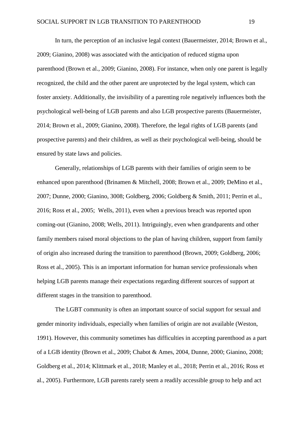In turn, the perception of an inclusive legal context (Bauermeister, 2014; Brown et al., 2009; Gianino, 2008) was associated with the anticipation of reduced stigma upon parenthood (Brown et al., 2009; Gianino, 2008). For instance, when only one parent is legally recognized, the child and the other parent are unprotected by the legal system, which can foster anxiety. Additionally, the invisibility of a parenting role negatively influences both the psychological well-being of LGB parents and also LGB prospective parents (Bauermeister, 2014; Brown et al., 2009; Gianino, 2008). Therefore, the legal rights of LGB parents (and prospective parents) and their children, as well as their psychological well-being, should be ensured by state laws and policies.

Generally, relationships of LGB parents with their families of origin seem to be enhanced upon parenthood (Brinamen & Mitchell, 2008; Brown et al., 2009; DeMino et al., 2007; Dunne, 2000; Gianino, 3008; Goldberg, 2006; Goldberg & Smith, 2011; Perrin et al., 2016; Ross et al., 2005; Wells, 2011), even when a previous breach was reported upon coming-out (Gianino, 2008; Wells, 2011). Intriguingly, even when grandparents and other family members raised moral objections to the plan of having children, support from family of origin also increased during the transition to parenthood (Brown, 2009; Goldberg, 2006; Ross et al., 2005). This is an important information for human service professionals when helping LGB parents manage their expectations regarding different sources of support at different stages in the transition to parenthood.

The LGBT community is often an important source of social support for sexual and gender minority individuals, especially when families of origin are not available (Weston, 1991). However, this community sometimes has difficulties in accepting parenthood as a part of a LGB identity (Brown et al., 2009; Chabot & Ames, 2004, Dunne, 2000; Gianino, 2008; Goldberg et al., 2014; Klittmark et al., 2018; Manley et al., 2018; Perrin et al., 2016; Ross et al., 2005). Furthermore, LGB parents rarely seem a readily accessible group to help and act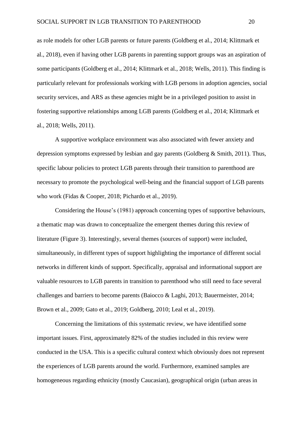as role models for other LGB parents or future parents (Goldberg et al., 2014; Klittmark et al., 2018), even if having other LGB parents in parenting support groups was an aspiration of some participants (Goldberg et al., 2014; Klittmark et al., 2018; Wells, 2011). This finding is particularly relevant for professionals working with LGB persons in adoption agencies, social security services, and ARS as these agencies might be in a privileged position to assist in fostering supportive relationships among LGB parents (Goldberg et al., 2014; Klittmark et al., 2018; Wells, 2011).

A supportive workplace environment was also associated with fewer anxiety and depression symptoms expressed by lesbian and gay parents (Goldberg & Smith, 2011). Thus, specific labour policies to protect LGB parents through their transition to parenthood are necessary to promote the psychological well-being and the financial support of LGB parents who work (Fidas & Cooper, 2018; Pichardo et al., 2019).

Considering the House's (1981) approach concerning types of supportive behaviours, a thematic map was drawn to conceptualize the emergent themes during this review of literature (Figure 3). Interestingly, several themes (sources of support) were included, simultaneously, in different types of support highlighting the importance of different social networks in different kinds of support. Specifically, appraisal and informational support are valuable resources to LGB parents in transition to parenthood who still need to face several challenges and barriers to become parents (Baiocco & Laghi, 2013; Bauermeister, 2014; Brown et al., 2009; Gato et al., 2019; Goldberg, 2010; Leal et al., 2019).

Concerning the limitations of this systematic review, we have identified some important issues. First, approximately 82% of the studies included in this review were conducted in the USA. This is a specific cultural context which obviously does not represent the experiences of LGB parents around the world. Furthermore, examined samples are homogeneous regarding ethnicity (mostly Caucasian), geographical origin (urban areas in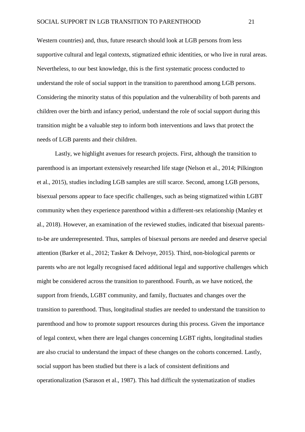Western countries) and, thus, future research should look at LGB persons from less supportive cultural and legal contexts, stigmatized ethnic identities, or who live in rural areas. Nevertheless, to our best knowledge, this is the first systematic process conducted to understand the role of social support in the transition to parenthood among LGB persons. Considering the minority status of this population and the vulnerability of both parents and children over the birth and infancy period, understand the role of social support during this transition might be a valuable step to inform both interventions and laws that protect the needs of LGB parents and their children.

Lastly, we highlight avenues for research projects. First, although the transition to parenthood is an important extensively researched life stage (Nelson et al., 2014; Pilkington et al., 2015), studies including LGB samples are still scarce. Second, among LGB persons, bisexual persons appear to face specific challenges, such as being stigmatized within LGBT community when they experience parenthood within a different-sex relationship (Manley et al., 2018). However, an examination of the reviewed studies, indicated that bisexual parentsto-be are underrepresented. Thus, samples of bisexual persons are needed and deserve special attention (Barker et al., 2012; Tasker & Delvoye, 2015). Third, non-biological parents or parents who are not legally recognised faced additional legal and supportive challenges which might be considered across the transition to parenthood. Fourth, as we have noticed, the support from friends, LGBT community, and family, fluctuates and changes over the transition to parenthood. Thus, longitudinal studies are needed to understand the transition to parenthood and how to promote support resources during this process. Given the importance of legal context, when there are legal changes concerning LGBT rights, longitudinal studies are also crucial to understand the impact of these changes on the cohorts concerned. Lastly, social support has been studied but there is a lack of consistent definitions and operationalization (Sarason et al., 1987). This had difficult the systematization of studies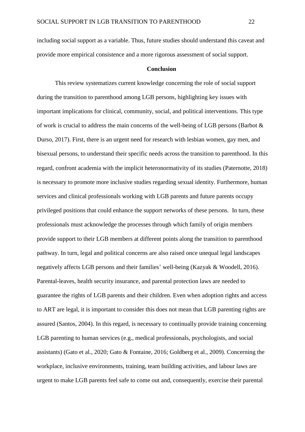including social support as a variable. Thus, future studies should understand this caveat and provide more empirical consistence and a more rigorous assessment of social support.

#### **Conclusion**

This review systematizes current knowledge concerning the role of social support during the transition to parenthood among LGB persons, highlighting key issues with important implications for clinical, community, social, and political interventions. This type of work is crucial to address the main concerns of the well-being of LGB persons (Barbot & Durso, 2017). First, there is an urgent need for research with lesbian women, gay men, and bisexual persons, to understand their specific needs across the transition to parenthood. In this regard, confront academia with the implicit heteronormativity of its studies (Paternotte, 2018) is necessary to promote more inclusive studies regarding sexual identity. Furthermore, human services and clinical professionals working with LGB parents and future parents occupy privileged positions that could enhance the support networks of these persons. In turn, these professionals must acknowledge the processes through which family of origin members provide support to their LGB members at different points along the transition to parenthood pathway. In turn, legal and political concerns are also raised once unequal legal landscapes negatively affects LGB persons and their families' well-being (Kazyak & Woodell, 2016). Parental-leaves, health security insurance, and parental protection laws are needed to guarantee the rights of LGB parents and their children. Even when adoption rights and access to ART are legal, it is important to consider this does not mean that LGB parenting rights are assured (Santos, 2004). In this regard, is necessary to continually provide training concerning LGB parenting to human services (e.g., medical professionals, psychologists, and social assistants) (Gato et al., 2020; Gato & Fontaine, 2016; Goldberg et al., 2009). Concerning the workplace, inclusive environments, training, team building activities, and labour laws are urgent to make LGB parents feel safe to come out and, consequently, exercise their parental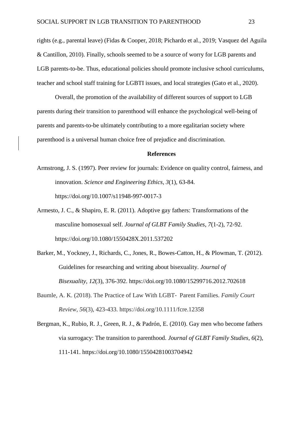rights (e.g., parental leave) (Fidas & Cooper, 2018; Pichardo et al., 2019; Vasquez del Aguila & Cantillon, 2010). Finally, schools seemed to be a source of worry for LGB parents and LGB parents-to-be. Thus, educational policies should promote inclusive school curriculums, teacher and school staff training for LGBTI issues, and local strategies (Gato et al., 2020).

Overall, the promotion of the availability of different sources of support to LGB parents during their transition to parenthood will enhance the psychological well-being of parents and parents-to-be ultimately contributing to a more egalitarian society where parenthood is a universal human choice free of prejudice and discrimination.

## **References**

- Armstrong, J. S. (1997). Peer review for journals: Evidence on quality control, fairness, and innovation. *Science and Engineering Ethics*, *3*(1), 63-84. https://doi.org/10.1007/s11948-997-0017-3
- Armesto, J. C., & Shapiro, E. R. (2011). Adoptive gay fathers: Transformations of the masculine homosexual self. *Journal of GLBT Family Studies*, *7*(1-2), 72-92. https://doi.org/10.1080/1550428X.2011.537202
- Barker, M., Yockney, J., Richards, C., Jones, R., Bowes-Catton, H., & Plowman, T. (2012). Guidelines for researching and writing about bisexuality. *Journal of Bisexuality*, *12*(3), 376-392. https://doi.org/10.1080/15299716.2012.702618
- Baumle, A. K. (2018). The Practice of Law With LGBT‐ Parent Families. *Family Court Review*, *56*(3), 423-433. https://doi.org/10.1111/fcre.12358
- Bergman, K., Rubio, R. J., Green, R. J., & Padrón, E. (2010). Gay men who become fathers via surrogacy: The transition to parenthood. *Journal of GLBT Family Studies*, *6*(2), 111-141. https://doi.org/10.1080/15504281003704942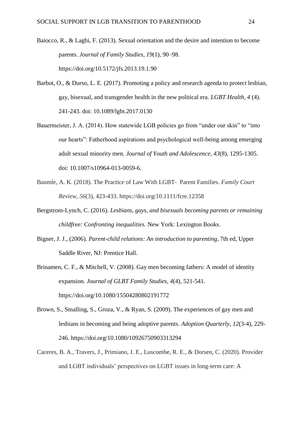- Baiocco, R., & Laghi, F. (2013). Sexual orientation and the desire and intention to become parents. *Journal of Family Studies, 19*(1), 90–98. https://doi.org/10.5172/jfs.2013.19.1.90
- Barbot, O., & Durso, L. E. (2017). Promoting a policy and research agenda to protect lesbian, gay, bisexual, and transgender health in the new political era. *LGBT Health, 4* (4). 241-243. doi: 10.1089/lgbt.2017.0130
- Bauermeister, J. A. (2014). How statewide LGB policies go from "under our skin" to "into our hearts": Fatherhood aspirations and psychological well-being among emerging adult sexual minority men. *Journal of Youth and Adolescence, 43*(8), 1295-1305. doi: 10.1007/s10964-013-0059-6.
- Baumle, A. K. (2018). The Practice of Law With LGBT‐ Parent Families. *Family Court Review*, *56*(3), 423-433. https://doi.org/10.1111/fcre.12358
- Bergstrom-Lynch, C. (2016)*. Lesbians, gays, and bisexuals becoming parents or remaining childfree: Confronting inequalities.* New York: Lexington Books.
- Bigner, J. J., (2006). *Parent-child relations: An introduction to parenting,* 7th ed, Upper Saddle River, NJ: Prentice Hall.
- Brinamen, C. F., & Mitchell, V. (2008). Gay men becoming fathers: A model of identity expansion. *Journal of GLBT Family Studies, 4*(4), 521-541. https://doi.org/10.1080/15504280802191772
- Brown, S., Smalling, S., Groza, V., & Ryan, S. (2009). The experiences of gay men and lesbians in becoming and being adoptive parents. *Adoption Quarterly*, *12*(3-4), 229- 246. https://doi.org/10.1080/10926750903313294
- Caceres, B. A., Travers, J., Primiano, J. E., Luscombe, R. E., & Dorsen, C. (2020). Provider and LGBT individuals' perspectives on LGBT issues in long-term care: A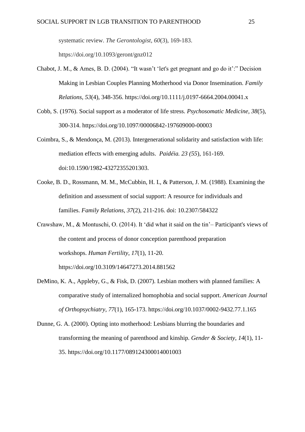systematic review. *The Gerontologist*, *60*(3), 169-183. https://doi.org/10.1093/geront/gnz012

- Chabot, J. M., & Ames, B. D. (2004). "It wasn't 'let's get pregnant and go do it':" Decision Making in Lesbian Couples Planning Motherhood via Donor Insemination. *Family Relations, 53*(4), 348-356. https://doi.org/10.1111/j.0197-6664.2004.00041.x
- Cobb, S. (1976). Social support as a moderator of life stress. *Psychosomatic Medicine*, *38*(5), 300-314. https://doi.org/10.1097/00006842-197609000-00003
- Coimbra, S., & Mendonça, M. (2013). Intergenerational solidarity and satisfaction with life: mediation effects with emerging adults. *Paidéia. 23 (55*), 161-169. doi:10.1590/1982-43272355201303.
- Cooke, B. D., Rossmann, M. M., McCubbin, H. I., & Patterson, J. M. (1988). Examining the definition and assessment of social support: A resource for individuals and families. *Family Relations*, *37*(2), 211-216. doi: 10.2307/584322
- Crawshaw, M., & Montuschi, O. (2014). It 'did what it said on the tin'– Participant's views of the content and process of donor conception parenthood preparation workshops. *Human Fertility*, *17*(1), 11-20. https://doi.org/10.3109/14647273.2014.881562
- DeMino, K. A., Appleby, G., & Fisk, D. (2007). Lesbian mothers with planned families: A comparative study of internalized homophobia and social support. *American Journal of Orthopsychiatry*, *77*(1), 165-173. https://doi.org/10.1037/0002-9432.77.1.165
- Dunne, G. A. (2000). Opting into motherhood: Lesbians blurring the boundaries and transforming the meaning of parenthood and kinship. *Gender & Society*, *14*(1), 11- 35. https://doi.org/10.1177/089124300014001003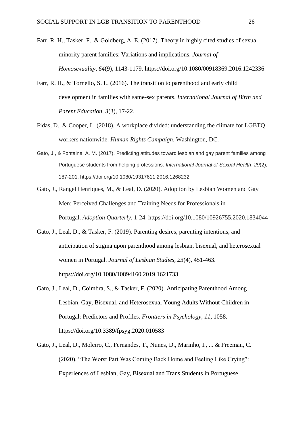- Farr, R. H., Tasker, F., & Goldberg, A. E. (2017). Theory in highly cited studies of sexual minority parent families: Variations and implications. *Journal of Homosexuality*, *64*(9), 1143-1179. https://doi.org/10.1080/00918369.2016.1242336
- Farr, R. H., & Tornello, S. L. (2016). The transition to parenthood and early child development in families with same-sex parents. *International Journal of Birth and Parent Education*, *3*(3), 17-22.
- Fidas, D., & Cooper, L. (2018). A workplace divided: understanding the climate for LGBTQ workers nationwide. *Human Rights Campaign*. Washington, DC.
- Gato, J., & Fontaine, A. M. (2017). Predicting attitudes toward lesbian and gay parent families among Portuguese students from helping professions. *International Journal of Sexual Health*, *29*(2), 187-201. https://doi.org/10.1080/19317611.2016.1268232
- Gato, J., Rangel Henriques, M., & Leal, D. (2020). Adoption by Lesbian Women and Gay Men: Perceived Challenges and Training Needs for Professionals in Portugal. *Adoption Quarterly*, 1-24. https://doi.org/10.1080/10926755.2020.1834044
- Gato, J., Leal, D., & Tasker, F. (2019). Parenting desires, parenting intentions, and anticipation of stigma upon parenthood among lesbian, bisexual, and heterosexual women in Portugal. *Journal of Lesbian Studies, 23*(4), 451-463. https://doi.org/10.1080/10894160.2019.1621733
- Gato, J., Leal, D., Coimbra, S., & Tasker, F. (2020). Anticipating Parenthood Among Lesbian, Gay, Bisexual, and Heterosexual Young Adults Without Children in Portugal: Predictors and Profiles. *Frontiers in Psychology*, *11*, 1058. https://doi.org/10.3389/fpsyg.2020.010583
- Gato, J., Leal, D., Moleiro, C., Fernandes, T., Nunes, D., Marinho, I., ... & Freeman, C. (2020). "The Worst Part Was Coming Back Home and Feeling Like Crying": Experiences of Lesbian, Gay, Bisexual and Trans Students in Portuguese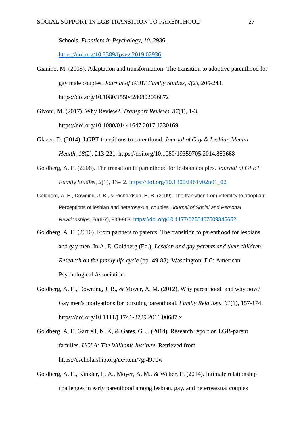Schools. *Frontiers in Psychology*, *10*, 2936.

<https://doi.org/10.3389/fpsyg.2019.02936>

- Gianino, M. (2008). Adaptation and transformation: The transition to adoptive parenthood for gay male couples. *Journal of GLBT Family Studies*, *4*(2), 205-243. https://doi.org/10.1080/15504280802096872
- Givoni, M. (2017). Why Review?. *Transport Reviews, 37*(1), 1-3. https://doi.org/10.1080/01441647.2017.1230169
- Glazer, D. (2014). LGBT transitions to parenthood. *Journal of Gay & Lesbian Mental Health*, *18*(2), 213-221. https://doi.org/10.1080/19359705.2014.883668
- Goldberg, A. E. (2006). The transition to parenthood for lesbian couples. *Journal of GLBT Family Studies*, *2*(1), 13-42. [https://doi.org/10.1300/J461v02n01\\_02](https://doi.org/10.1300/J461v02n01_02)
- Goldberg, A. E., Downing, J. B., & Richardson, H. B. (2009). The transition from infertility to adoption: Perceptions of lesbian and heterosexual couples. *Journal of Social and Personal Relationships*, *26*(6-7), 938-963. [https://doi.org/10.1177/0265407509345652](https://doi.org/10.1177%2F0265407509345652)
- Goldberg, A. E. (2010). From partners to parents: The transition to parenthood for lesbians and gay men. In A. E. Goldberg (Ed.), *Lesbian and gay parents and their children: Research on the family life cycle* (pp- 49-88)*.* Washington, DC: American Psychological Association.
- Goldberg, A. E., Downing, J. B., & Moyer, A. M. (2012). Why parenthood, and why now? Gay men's motivations for pursuing parenthood. *Family Relations*, *61*(1), 157-174. https://doi.org/10.1111/j.1741-3729.2011.00687.x
- Goldberg, A. E, Gartrell, N. K, & Gates, G. J. (2014). Research report on LGB-parent families. *UCLA: The Williams Institute*. Retrieved from https://escholarship.org/uc/item/7gr4970w
- Goldberg, A. E., Kinkler, L. A., Moyer, A. M., & Weber, E. (2014). Intimate relationship challenges in early parenthood among lesbian, gay, and heterosexual couples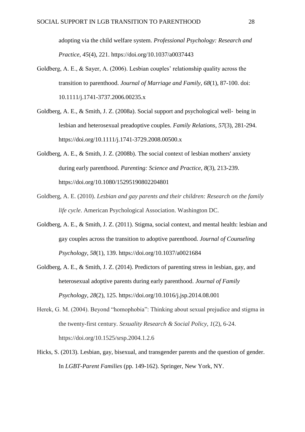adopting via the child welfare system. *Professional Psychology: Research and Practice*, *45*(4), 221. https://doi.org/10.1037/a0037443

- Goldberg, A. E., & Sayer, A. (2006). Lesbian couples' relationship quality across the transition to parenthood. *Journal of Marriage and Family*, *68*(1), 87-100. doi: 10.1111/j.1741-3737.2006.00235.x
- Goldberg, A. E., & Smith, J. Z. (2008a). Social support and psychological well‐ being in lesbian and heterosexual preadoptive couples. *Family Relations*, *57*(3), 281-294. https://doi.org/10.1111/j.1741-3729.2008.00500.x
- Goldberg, A. E., & Smith, J. Z. (2008b). The social context of lesbian mothers' anxiety during early parenthood. *Parenting: Science and Practice*, *8*(3), 213-239. https://doi.org/10.1080/15295190802204801
- Goldberg, A. E. (2010). *Lesbian and gay parents and their children: Research on the family life cycle*. American Psychological Association. Washington DC.
- Goldberg, A. E., & Smith, J. Z. (2011). Stigma, social context, and mental health: lesbian and gay couples across the transition to adoptive parenthood. *Journal of Counseling Psychology*, *58*(1), 139. https://doi.org/10.1037/a0021684
- Goldberg, A. E., & Smith, J. Z. (2014). Predictors of parenting stress in lesbian, gay, and heterosexual adoptive parents during early parenthood. *Journal of Family Psychology*, *28*(2), 125. https://doi.org/10.1016/j.jsp.2014.08.001
- Herek, G. M. (2004). Beyond "homophobia": Thinking about sexual prejudice and stigma in the twenty-first century. *Sexuality Research & Social Policy*, *1*(2), 6-24. https://doi.org/10.1525/srsp.2004.1.2.6
- Hicks, S. (2013). Lesbian, gay, bisexual, and transgender parents and the question of gender. In *LGBT-Parent Families* (pp. 149-162). Springer, New York, NY.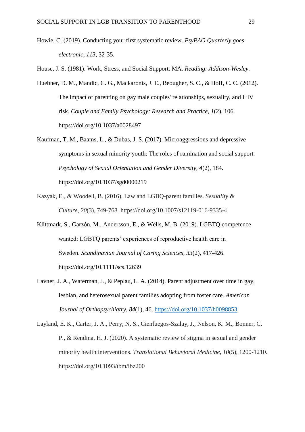Howie, C. (2019). Conducting your first systematic review. *PsyPAG Quarterly goes electronic*, *113,* 32-35.

House, J. S. (1981). Work, Stress, and Social Support. MA. *Reading: Addison-Wesley*.

- Huebner, D. M., Mandic, C. G., Mackaronis, J. E., Beougher, S. C., & Hoff, C. C. (2012). The impact of parenting on gay male couples' relationships, sexuality, and HIV risk. *Couple and Family Psychology: Research and Practice*, *1*(2), 106. https://doi.org/10.1037/a0028497
- Kaufman, T. M., Baams, L., & Dubas, J. S. (2017). Microaggressions and depressive symptoms in sexual minority youth: The roles of rumination and social support. *Psychology of Sexual Orientation and Gender Diversity, 4*(2), 184. https://doi.org/10.1037/sgd0000219
- Kazyak, E., & Woodell, B. (2016). Law and LGBQ-parent families. *Sexuality & Culture*, *20*(3), 749-768. https://doi.org/10.1007/s12119-016-9335-4
- Klittmark, S., Garzón, M., Andersson, E., & Wells, M. B. (2019). LGBTQ competence wanted: LGBTQ parents' experiences of reproductive health care in Sweden. *Scandinavian Journal of Caring Sciences*, *33*(2), 417-426. https://doi.org/10.1111/scs.12639
- Lavner, J. A., Waterman, J., & Peplau, L. A. (2014). Parent adjustment over time in gay, lesbian, and heterosexual parent families adopting from foster care. *American Journal of Orthopsychiatry*, *84*(1), 46.<https://doi.org/10.1037/h0098853>
- Layland, E. K., Carter, J. A., Perry, N. S., Cienfuegos-Szalay, J., Nelson, K. M., Bonner, C. P., & Rendina, H. J. (2020). A systematic review of stigma in sexual and gender minority health interventions. *Translational Behavioral Medicine*, *10*(5), 1200-1210. https://doi.org/10.1093/tbm/ibz200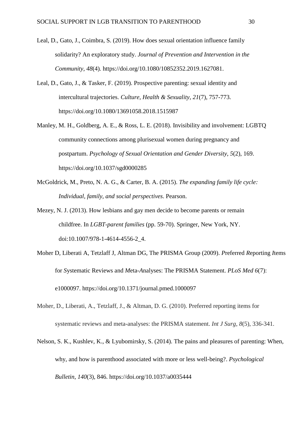- Leal, D., Gato, J., Coimbra, S. (2019). How does sexual orientation influence family solidarity? An exploratory study. *Journal of Prevention and Intervention in the Community, 48*(4)*.* https://doi.org/10.1080/10852352.2019.1627081.
- Leal, D., Gato, J., & Tasker, F. (2019). Prospective parenting: sexual identity and intercultural trajectories. *Culture, Health & Sexuality*, *21*(7), 757-773. https://doi.org/10.1080/13691058.2018.1515987
- Manley, M. H., Goldberg, A. E., & Ross, L. E. (2018). Invisibility and involvement: LGBTQ community connections among plurisexual women during pregnancy and postpartum. *Psychology of Sexual Orientation and Gender Diversity*, *5*(2), 169. https://doi.org/10.1037/sgd0000285
- McGoldrick, M., Preto, N. A. G., & Carter, B. A. (2015). *The expanding family life cycle: Individual, family, and social perspectives*. Pearson.
- Mezey, N. J. (2013). How lesbians and gay men decide to become parents or remain childfree. In *LGBT-parent families* (pp. 59-70). Springer, New York, NY. doi:10.1007/978-1-4614-4556-2\_4.
- Moher D, Liberati A, Tetzlaff J, Altman DG, The PRISMA Group (2009). *P*referred *R*eporting *I*tems for *S*ystematic Reviews and *M*eta-*A*nalyses: The PRISMA Statement. *PLoS Med 6*(7): e1000097. https://doi.org/10.1371/journal.pmed.1000097
- Moher, D., Liberati, A., Tetzlaff, J., & Altman, D. G. (2010). Preferred reporting items for systematic reviews and meta-analyses: the PRISMA statement. *Int J Surg*, *8*(5), 336-341.
- Nelson, S. K., Kushlev, K., & Lyubomirsky, S. (2014). The pains and pleasures of parenting: When, why, and how is parenthood associated with more or less well-being?. *Psychological Bulletin*, *140*(3), 846. https://doi.org/10.1037/a0035444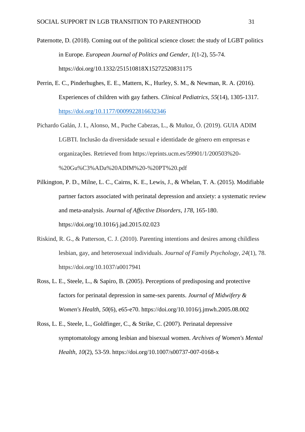- Paternotte, D. (2018). Coming out of the political science closet: the study of LGBT politics in Europe. *European Journal of Politics and Gender*, *1*(1-2), 55-74. https://doi.org/10.1332/251510818X15272520831175
- Perrin, E. C., Pinderhughes, E. E., Mattern, K., Hurley, S. M., & Newman, R. A. (2016). Experiences of children with gay fathers. *Clinical Pediatrics*, *55*(14), 1305-1317. <https://doi.org/10.1177/0009922816632346>
- Pichardo Galán, J. I., Alonso, M., Puche Cabezas, L., & Muñoz, Ó. (2019). GUIA ADIM LGBTI. Inclusão da diversidade sexual e identidade de género em empresas e organizações. Retrieved from https://eprints.ucm.es/59901/1/200503%20- %20Gu%C3%ADa%20ADIM%20-%20PT%20.pdf
- Pilkington, P. D., Milne, L. C., Cairns, K. E., Lewis, J., & Whelan, T. A. (2015). Modifiable partner factors associated with perinatal depression and anxiety: a systematic review and meta-analysis. *Journal of Affective Disorders*, *178*, 165-180. https://doi.org/10.1016/j.jad.2015.02.023
- Riskind, R. G., & Patterson, C. J. (2010). Parenting intentions and desires among childless lesbian, gay, and heterosexual individuals. *Journal of Family Psychology*, *24*(1), 78. https://doi.org/10.1037/a0017941
- Ross, L. E., Steele, L., & Sapiro, B. (2005). Perceptions of predisposing and protective factors for perinatal depression in same-sex parents. *Journal of Midwifery & Women's Health*, *50*(6), e65-e70. https://doi.org/10.1016/j.jmwh.2005.08.002
- Ross, L. E., Steele, L., Goldfinger, C., & Strike, C. (2007). Perinatal depressive symptomatology among lesbian and bisexual women. *Archives of Women's Mental Health*, *10*(2), 53-59. https://doi.org/10.1007/s00737-007-0168-x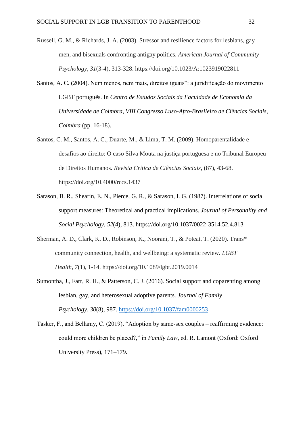- Russell, G. M., & Richards, J. A. (2003). Stressor and resilience factors for lesbians, gay men, and bisexuals confronting antigay politics. *American Journal of Community Psychology*, *31*(3-4), 313-328. https://doi.org/10.1023/A:1023919022811
- Santos, A. C. (2004). Nem menos, nem mais, direitos iguais": a juridificação do movimento LGBT português. In *Centro de Estudos Sociais da Faculdade de Economia da Universidade de Coimbra, VIII Congresso Luso-Afro-Brasileiro de Ciências Sociais, Coimbra* (pp. 16-18).
- Santos, C. M., Santos, A. C., Duarte, M., & Lima, T. M. (2009). Homoparentalidade e desafios ao direito: O caso Silva Mouta na justiça portuguesa e no Tribunal Europeu de Direitos Humanos. *Revista Crítica de Ciências Sociais*, (87), 43-68. https://doi.org/10.4000/rccs.1437
- Sarason, B. R., Shearin, E. N., Pierce, G. R., & Sarason, I. G. (1987). Interrelations of social support measures: Theoretical and practical implications. *Journal of Personality and Social Psychology*, *52*(4), 813. https://doi.org/10.1037/0022-3514.52.4.813
- Sherman, A. D., Clark, K. D., Robinson, K., Noorani, T., & Poteat, T. (2020). Trans\* community connection, health, and wellbeing: a systematic review. *LGBT Health*, *7*(1), 1-14. https://doi.org/10.1089/lgbt.2019.0014
- Sumontha, J., Farr, R. H., & Patterson, C. J. (2016). Social support and coparenting among lesbian, gay, and heterosexual adoptive parents. *Journal of Family Psychology*, *30*(8), 987.<https://doi.org/10.1037/fam0000253>
- Tasker, F., and Bellamy, C. (2019). "Adoption by same-sex couples reaffirming evidence: could more children be placed?," in *Family Law*, ed. R. Lamont (Oxford: Oxford University Press), 171–179.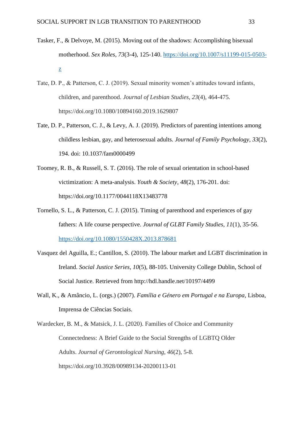- Tasker, F., & Delvoye, M. (2015). Moving out of the shadows: Accomplishing bisexual motherhood. *Sex Roles*, *73*(3-4), 125-140. [https://doi.org/10.1007/s11199-015-0503](https://doi.org/10.1007/s11199-015-0503-z) [z](https://doi.org/10.1007/s11199-015-0503-z)
- Tate, D. P., & Patterson, C. J. (2019). Sexual minority women's attitudes toward infants, children, and parenthood. *Journal of Lesbian Studies*, *23*(4), 464-475. https://doi.org/10.1080/10894160.2019.1629807
- Tate, D. P., Patterson, C. J., & Levy, A. J. (2019). Predictors of parenting intentions among childless lesbian, gay, and heterosexual adults. *Journal of Family Psychology*, *33*(2), 194. doi: 10.1037/fam0000499
- Toomey, R. B., & Russell, S. T. (2016). The role of sexual orientation in school-based victimization: A meta-analysis. *Youth & Society*, *48*(2), 176-201. doi: https://doi.org/10.1177/0044118X13483778
- Tornello, S. L., & Patterson, C. J. (2015). Timing of parenthood and experiences of gay fathers: A life course perspective. *Journal of GLBT Family Studies*, *11*(1), 35-56. <https://doi.org/10.1080/1550428X.2013.878681>
- Vasquez del Aguilla, E.; Cantillon, S. (2010). The labour market and LGBT discrimination in Ireland. *Social Justice Series, 10*(5), 88-105. University College Dublin, School of Social Justice. Retrieved from http://hdl.handle.net/10197/4499
- Wall, K., & Amâncio, L. (orgs.) (2007). *Família e Género em Portugal e na Europa*, Lisboa, Imprensa de Ciências Sociais.

Wardecker, B. M., & Matsick, J. L. (2020). Families of Choice and Community Connectedness: A Brief Guide to the Social Strengths of LGBTQ Older Adults. *Journal of Gerontological Nursing*, *46*(2), 5-8. https://doi.org/10.3928/00989134-20200113-01